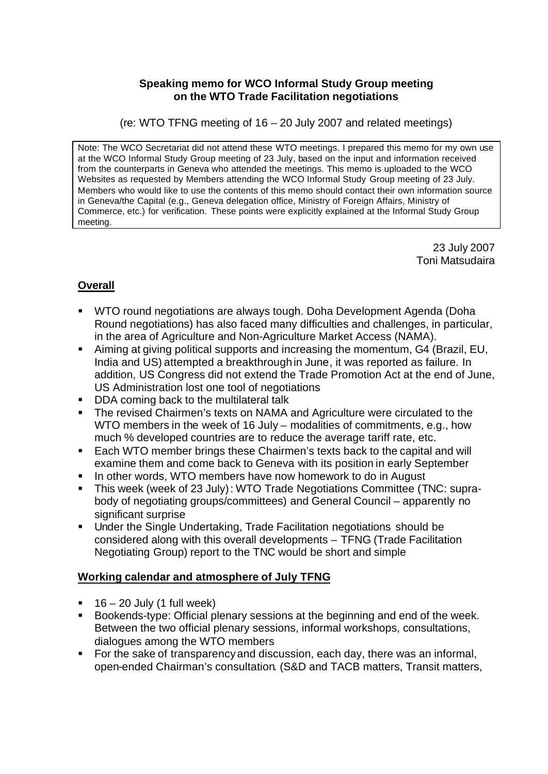#### **Speaking memo for WCO Informal Study Group meeting on the WTO Trade Facilitation negotiations**

(re: WTO TFNG meeting of 16 – 20 July 2007 and related meetings)

Note: The WCO Secretariat did not attend these WTO meetings. I prepared this memo for my own use at the WCO Informal Study Group meeting of 23 July, based on the input and information received from the counterparts in Geneva who attended the meetings. This memo is uploaded to the WCO Websites as requested by Members attending the WCO Informal Study Group meeting of 23 July. Members who would like to use the contents of this memo should contact their own information source in Geneva/the Capital (e.g., Geneva delegation office, Ministry of Foreign Affairs, Ministry of Commerce, etc.) for verification. These points were explicitly explained at the Informal Study Group meeting.

> 23 July 2007 Toni Matsudaira

# **Overall**

- ß WTO round negotiations are always tough. Doha Development Agenda (Doha Round negotiations) has also faced many difficulties and challenges, in particular, in the area of Agriculture and Non-Agriculture Market Access (NAMA).
- Aiming at giving political supports and increasing the momentum, G4 (Brazil, EU, India and US) attempted a breakthrough in June, it was reported as failure. In addition, US Congress did not extend the Trade Promotion Act at the end of June, US Administration lost one tool of negotiations
- **DDA coming back to the multilateral talk**
- **The revised Chairmen's texts on NAMA and Agriculture were circulated to the** WTO members in the week of 16 July – modalities of commitments, e.g., how much % developed countries are to reduce the average tariff rate, etc.
- Each WTO member brings these Chairmen's texts back to the capital and will examine them and come back to Geneva with its position in early September
- **IF In other words, WTO members have now homework to do in August**
- ß This week (week of 23 July): WTO Trade Negotiations Committee (TNC: suprabody of negotiating groups/committees) and General Council – apparently no significant surprise
- ß Under the Single Undertaking, Trade Facilitation negotiations should be considered along with this overall developments – TFNG (Trade Facilitation Negotiating Group) report to the TNC would be short and simple

### **Working calendar and atmosphere of July TFNG**

- $\blacksquare$  16 20 July (1 full week)
- Bookends-type: Official plenary sessions at the beginning and end of the week. Between the two official plenary sessions, informal workshops, consultations, dialogues among the WTO members
- For the sake of transparency and discussion, each day, there was an informal, open-ended Chairman's consultation. (S&D and TACB matters, Transit matters,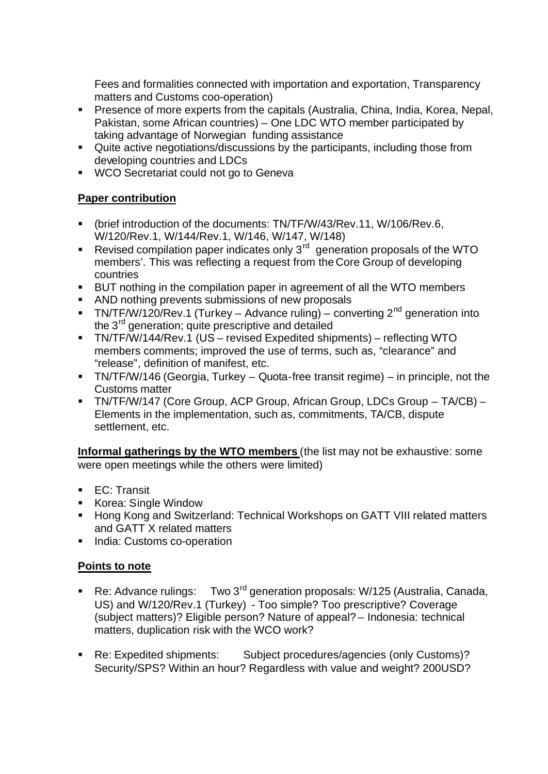Fees and formalities connected with importation and exportation, Transparency matters and Customs coo-operation)

- **Presence of more experts from the capitals (Australia, China, India, Korea, Nepal,** Pakistan, some African countries) – One LDC WTO member participated by taking advantage of Norwegian funding assistance
- Quite active negotiations/discussions by the participants, including those from developing countries and LDCs
- WCO Secretariat could not go to Geneva

# **Paper contribution**

- ß (brief introduction of the documents: TN/TF/W/43/Rev.11, W/106/Rev.6, W/120/Rev.1, W/144/Rev.1, W/146, W/147, W/148)
- Revised compilation paper indicates only  $3^{rd}$  generation proposals of the WTO members'. This was reflecting a request from the Core Group of developing countries
- BUT nothing in the compilation paper in agreement of all the WTO members
- **AND nothing prevents submissions of new proposals**
- **TN/TF/W/120/Rev.1 (Turkey Advance ruling) converting 2<sup>nd</sup> generation into** the 3<sup>rd</sup> generation; quite prescriptive and detailed
- ß TN/TF/W/144/Rev.1 (US revised Expedited shipments) reflecting WTO members comments; improved the use of terms, such as, "clearance" and "release", definition of manifest, etc.
- **TIM/TF/W/146 (Georgia, Turkey Quota-free transit regime) in principle, not the** Customs matter
- TN/TF/W/147 (Core Group, ACP Group, African Group, LDCs Group TA/CB) Elements in the implementation, such as, commitments, TA/CB, dispute settlement, etc.

**Informal gatherings by the WTO members** (the list may not be exhaustive: some were open meetings while the others were limited)

- **EC: Transit**
- Korea: Single Window
- **Hong Kong and Switzerland: Technical Workshops on GATT VIII related matters** and GATT X related matters
- India: Customs co-operation

### **Points to note**

- Re: Advance rulings: Two 3<sup>rd</sup> generation proposals: W/125 (Australia, Canada, US) and W/120/Rev.1 (Turkey) - Too simple? Too prescriptive? Coverage (subject matters)? Eligible person? Nature of appeal? – Indonesia: technical matters, duplication risk with the WCO work?
- Re: Expedited shipments: Subject procedures/agencies (only Customs)? Security/SPS? Within an hour? Regardless with value and weight? 200USD?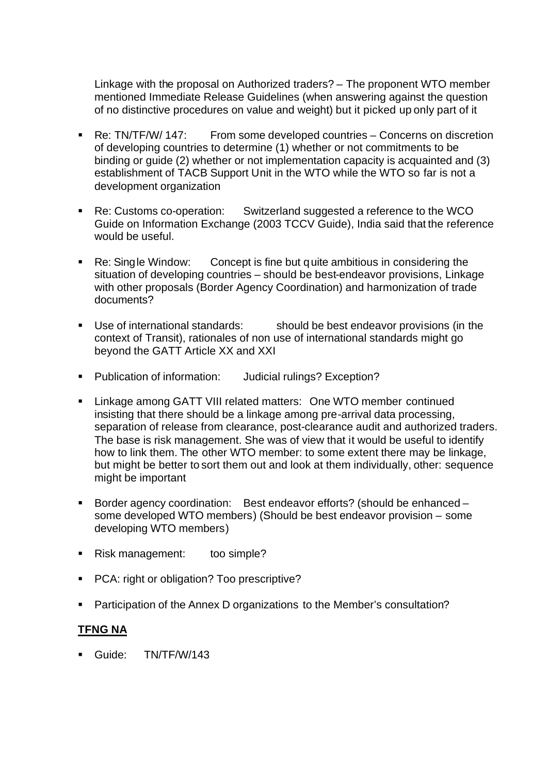Linkage with the proposal on Authorized traders? – The proponent WTO member mentioned Immediate Release Guidelines (when answering against the question of no distinctive procedures on value and weight) but it picked up only part of it

- Re: TN/TF/W/ 147: From some developed countries Concerns on discretion of developing countries to determine (1) whether or not commitments to be binding or guide (2) whether or not implementation capacity is acquainted and (3) establishment of TACB Support Unit in the WTO while the WTO so far is not a development organization
- Re: Customs co-operation: Switzerland suggested a reference to the WCO Guide on Information Exchange (2003 TCCV Guide), India said that the reference would be useful.
- Re: Single Window: Concept is fine but quite ambitious in considering the situation of developing countries – should be best-endeavor provisions, Linkage with other proposals (Border Agency Coordination) and harmonization of trade documents?
- Use of international standards: should be best endeavor provisions (in the context of Transit), rationales of non use of international standards might go beyond the GATT Article XX and XXI
- **Publication of information:** Judicial rulings? Exception?
- ß Linkage among GATT VIII related matters: One WTO member continued insisting that there should be a linkage among pre-arrival data processing, separation of release from clearance, post-clearance audit and authorized traders. The base is risk management. She was of view that it would be useful to identify how to link them. The other WTO member: to some extent there may be linkage, but might be better to sort them out and look at them individually, other: sequence might be important
- ß Border agency coordination: Best endeavor efforts? (should be enhanced some developed WTO members) (Should be best endeavor provision – some developing WTO members)
- Risk management: too simple?
- **PCA: right or obligation? Too prescriptive?**
- ß Participation of the Annex D organizations to the Member's consultation?

#### **TFNG NA**

Guide: TN/TF/W/143